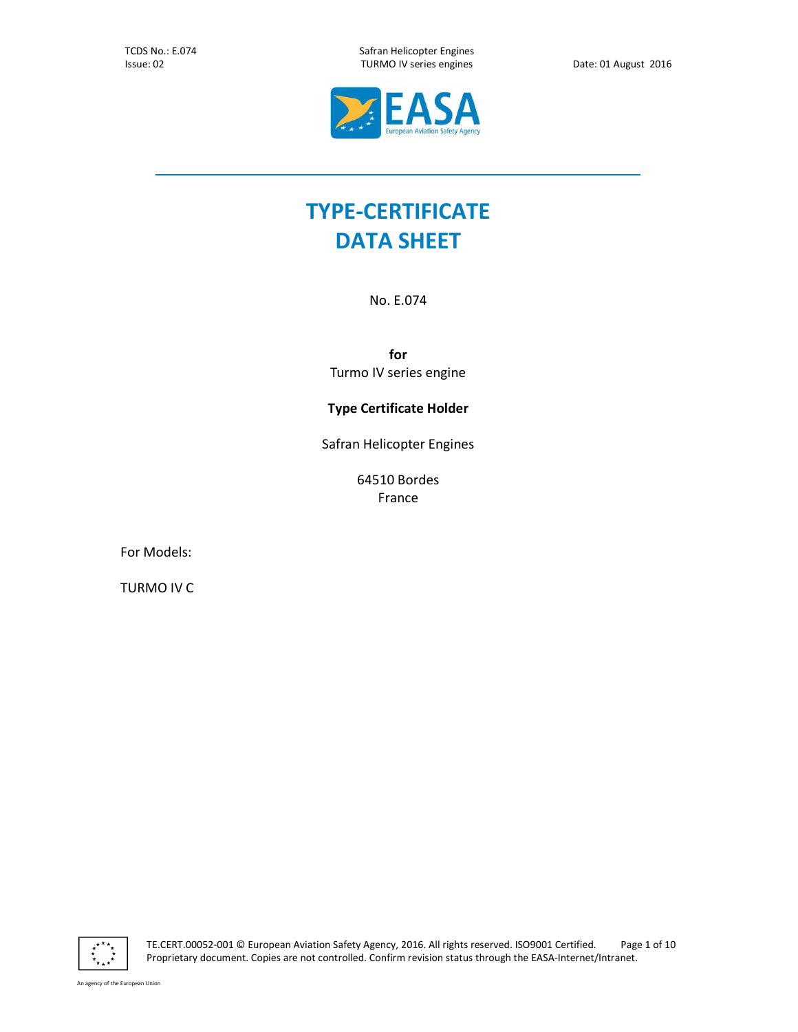TCDS No.: E.074 Safran Helicopter Engines Issue: 02 TURMO IV series engines Date: 01 August 2016



# **TYPE-CERTIFICATE DATA SHEET**

No. E.074

**for**  Turmo IV series engine

# **Type Certificate Holder**

Safran Helicopter Engines

64510 Bordes France

For Models:

TURMO IV C



TE.CERT.00052-001 © European Aviation Safety Agency, 2016. All rights reserved. ISO9001 Certified. Page 1 of 10 Proprietary document. Copies are not controlled. Confirm revision status through the EASA-Internet/Intranet.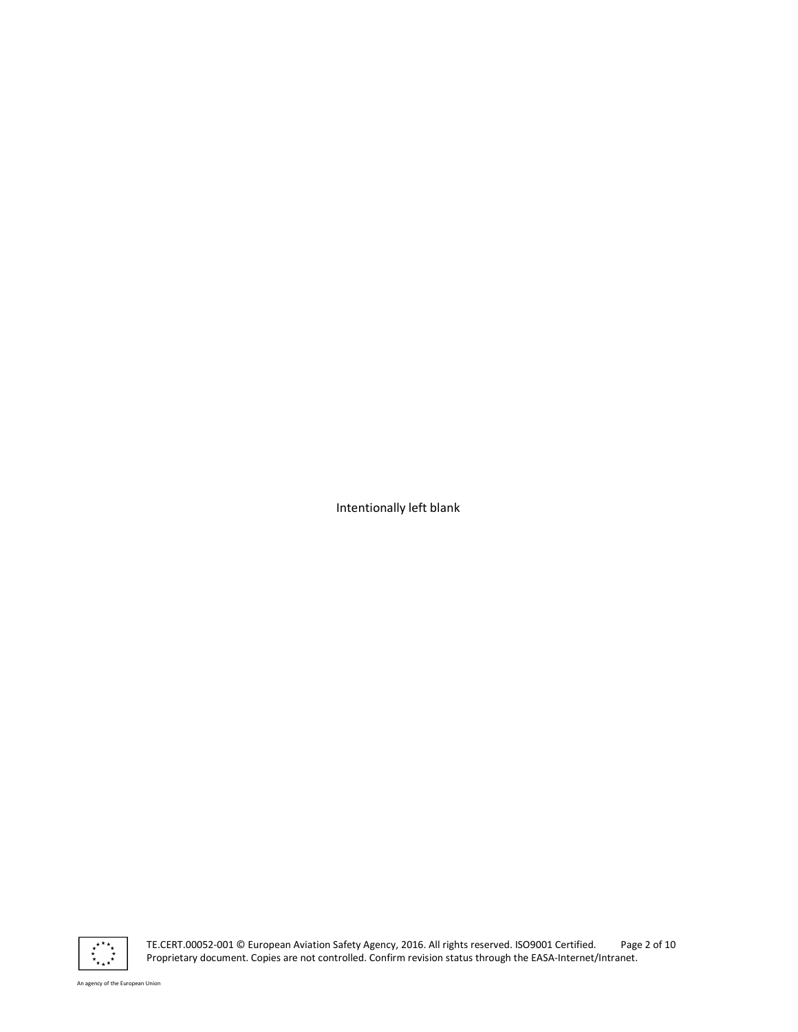Intentionally left blank



TE.CERT.00052-001 © European Aviation Safety Agency, 2016. All rights reserved. ISO9001 Certified. Page 2 of 10 Proprietary document. Copies are not controlled. Confirm revision status through the EASA-Internet/Intranet.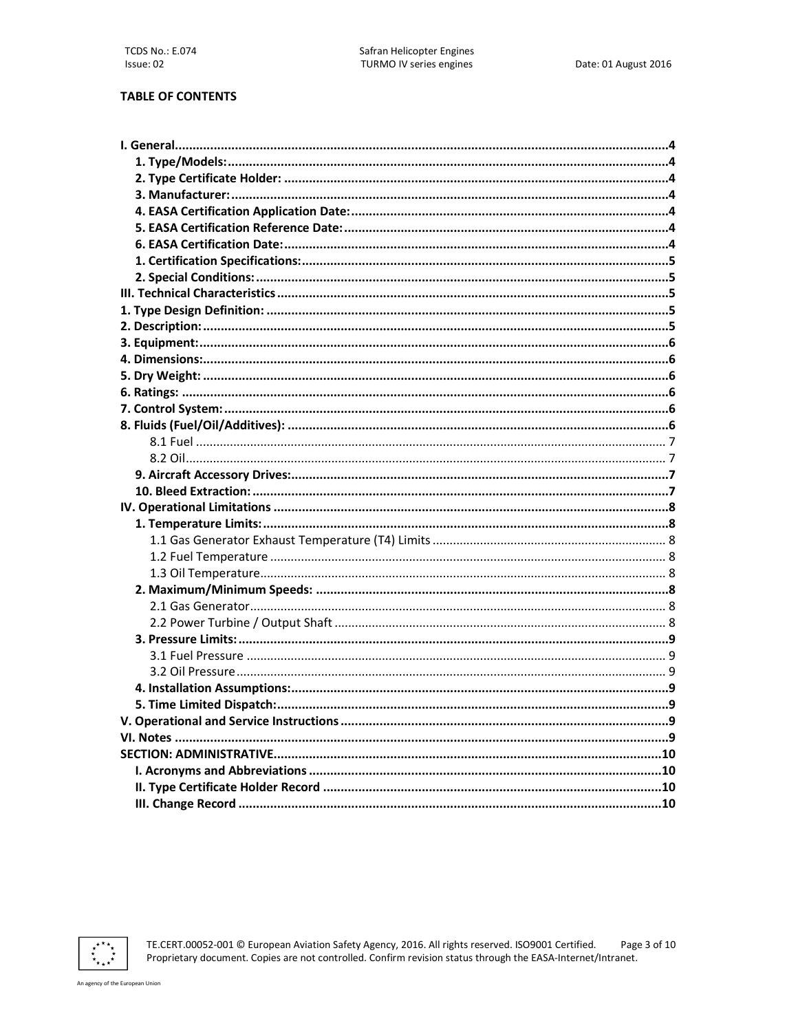# **TABLE OF CONTENTS**

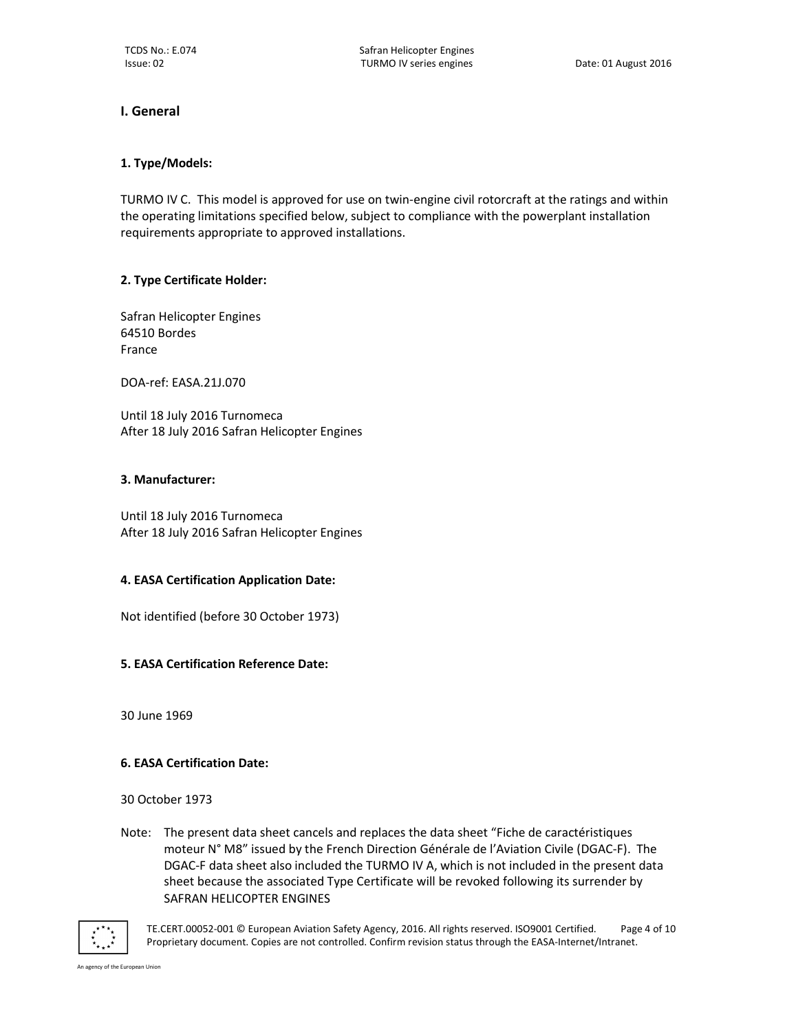# **I. General**

## **1. Type/Models:**

TURMO IV C. This model is approved for use on twin-engine civil rotorcraft at the ratings and within the operating limitations specified below, subject to compliance with the powerplant installation requirements appropriate to approved installations.

#### **2. Type Certificate Holder:**

Safran Helicopter Engines 64510 Bordes France

DOA-ref: EASA.21J.070

Until 18 July 2016 Turnomeca After 18 July 2016 Safran Helicopter Engines

## **3. Manufacturer:**

Until 18 July 2016 Turnomeca After 18 July 2016 Safran Helicopter Engines

#### **4. EASA Certification Application Date:**

Not identified (before 30 October 1973)

# **5. EASA Certification Reference Date:**

30 June 1969

# **6. EASA Certification Date:**

#### 30 October 1973

Note: The present data sheet cancels and replaces the data sheet "Fiche de caractéristiques moteur N° M8" issued by the French Direction Générale de l'Aviation Civile (DGAC-F). The DGAC-F data sheet also included the TURMO IV A, which is not included in the present data sheet because the associated Type Certificate will be revoked following its surrender by SAFRAN HELICOPTER ENGINES



TE.CERT.00052-001 © European Aviation Safety Agency, 2016. All rights reserved. ISO9001 Certified. Page 4 of 10 Proprietary document. Copies are not controlled. Confirm revision status through the EASA-Internet/Intranet.

An agency of the European Union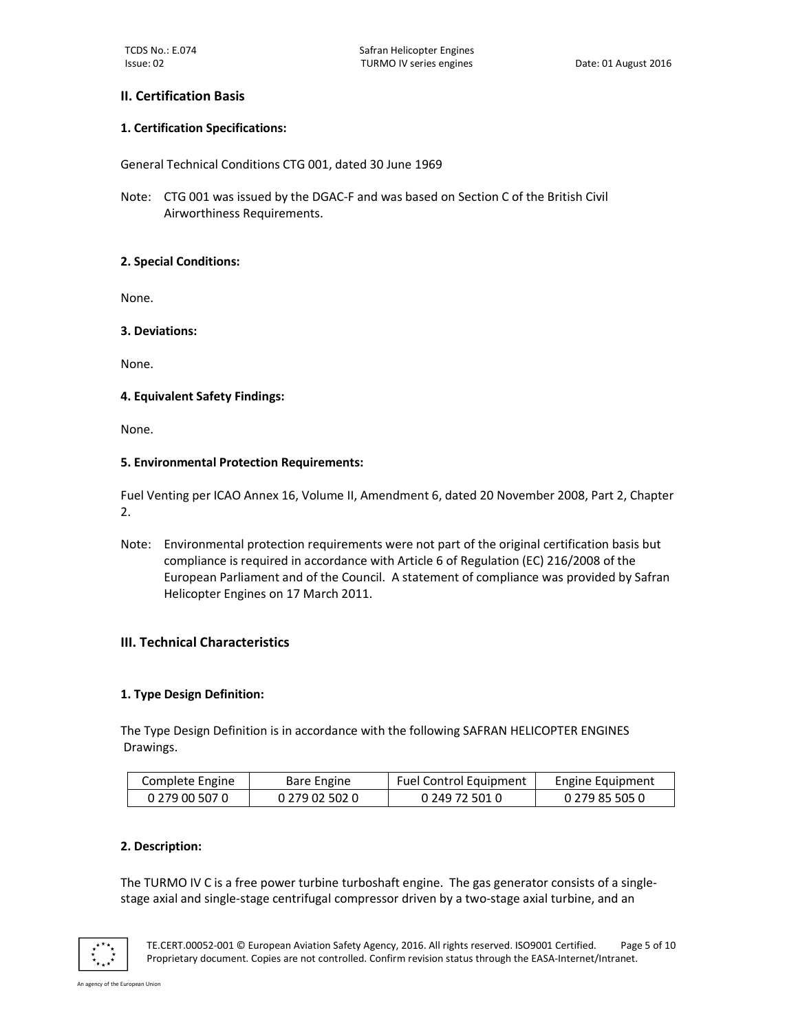# **II. Certification Basis**

# **1. Certification Specifications:**

General Technical Conditions CTG 001, dated 30 June 1969

Note: CTG 001 was issued by the DGAC-F and was based on Section C of the British Civil Airworthiness Requirements.

# **2. Special Conditions:**

None.

# **3. Deviations:**

None.

# **4. Equivalent Safety Findings:**

None.

# **5. Environmental Protection Requirements:**

Fuel Venting per ICAO Annex 16, Volume II, Amendment 6, dated 20 November 2008, Part 2, Chapter 2.

Note: Environmental protection requirements were not part of the original certification basis but compliance is required in accordance with Article 6 of Regulation (EC) 216/2008 of the European Parliament and of the Council. A statement of compliance was provided by Safran Helicopter Engines on 17 March 2011.

# **III. Technical Characteristics**

# **1. Type Design Definition:**

The Type Design Definition is in accordance with the following SAFRAN HELICOPTER ENGINES Drawings.

| Complete Engine | Bare Engine    | <b>Fuel Control Equipment</b> | Engine Equipment |
|-----------------|----------------|-------------------------------|------------------|
| 0 279 00 507 0  | 0 279 02 502 0 | 0 249 72 501 0                | 0 279 85 505 0   |

# **2. Description:**

The TURMO IV C is a free power turbine turboshaft engine. The gas generator consists of a singlestage axial and single-stage centrifugal compressor driven by a two-stage axial turbine, and an



TE.CERT.00052-001 © European Aviation Safety Agency, 2016. All rights reserved. ISO9001 Certified. Page 5 of 10 Proprietary document. Copies are not controlled. Confirm revision status through the EASA-Internet/Intranet.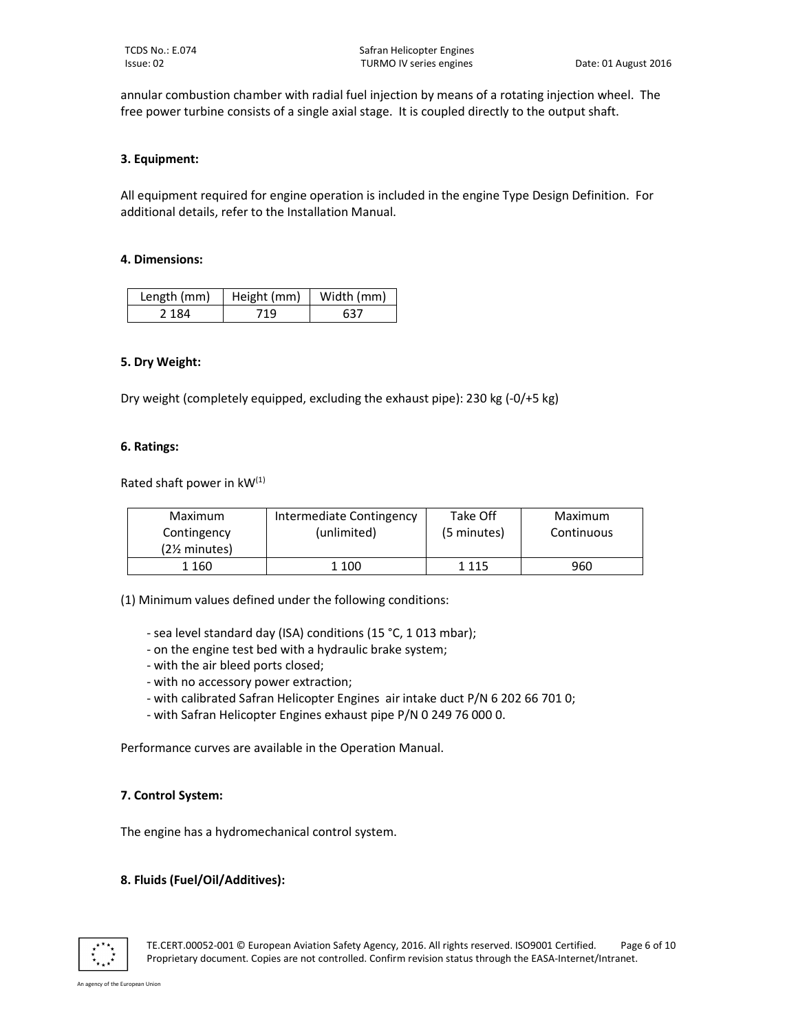annular combustion chamber with radial fuel injection by means of a rotating injection wheel. The free power turbine consists of a single axial stage. It is coupled directly to the output shaft.

## **3. Equipment:**

All equipment required for engine operation is included in the engine Type Design Definition. For additional details, refer to the Installation Manual.

#### **4. Dimensions:**

| Length (mm) | $H$ eight (mm) | Width (mm) |
|-------------|----------------|------------|
| 2 1 8 4     | 719            | 637        |

# **5. Dry Weight:**

Dry weight (completely equipped, excluding the exhaust pipe): 230 kg (-0/+5 kg)

#### **6. Ratings:**

Rated shaft power in  $kW^{(1)}$ 

| Maximum         | Intermediate Contingency | Take Off    | Maximum    |
|-----------------|--------------------------|-------------|------------|
| Contingency     | (unlimited)              | (5 minutes) | Continuous |
| $(2\%$ minutes) |                          |             |            |
| 1 160           | 1 100                    | 1 1 1 5     | 960        |

(1) Minimum values defined under the following conditions:

- sea level standard day (ISA) conditions (15 °C, 1 013 mbar);
- on the engine test bed with a hydraulic brake system;
- with the air bleed ports closed;
- with no accessory power extraction;
- with calibrated Safran Helicopter Engines air intake duct P/N 6 202 66 701 0;
- with Safran Helicopter Engines exhaust pipe P/N 0 249 76 000 0.

Performance curves are available in the Operation Manual.

# **7. Control System:**

The engine has a hydromechanical control system.

# **8. Fluids (Fuel/Oil/Additives):**



TE.CERT.00052-001 © European Aviation Safety Agency, 2016. All rights reserved. ISO9001 Certified. Page 6 of 10 Proprietary document. Copies are not controlled. Confirm revision status through the EASA-Internet/Intranet.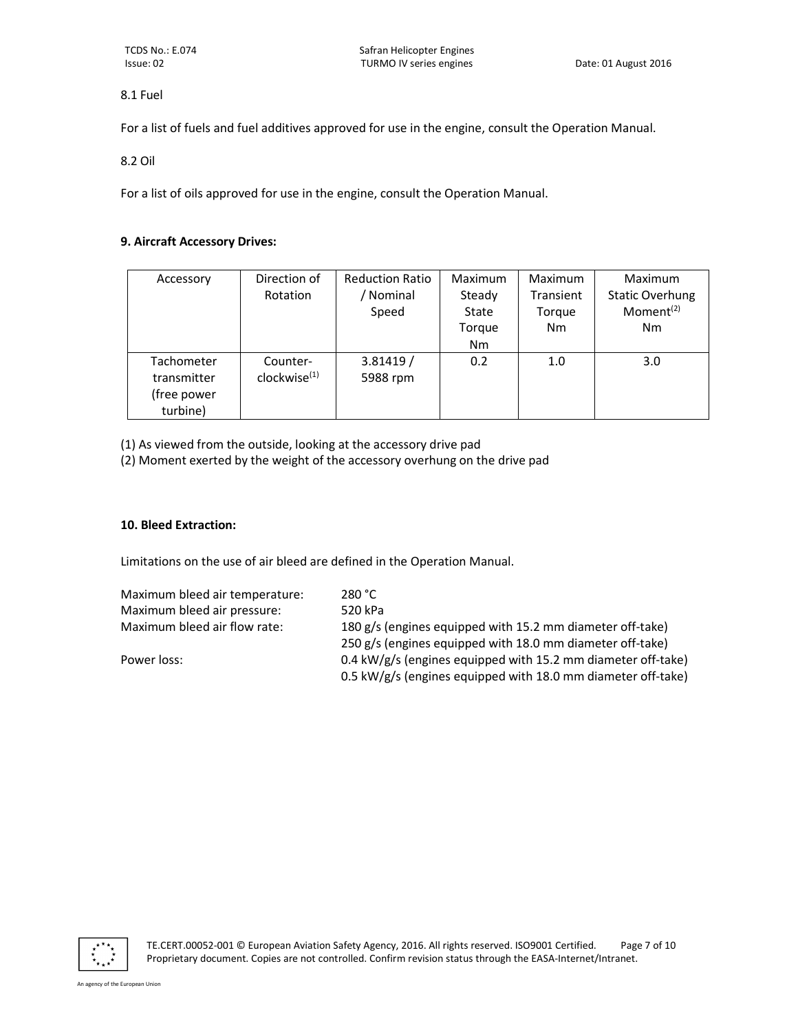8.1 Fuel

For a list of fuels and fuel additives approved for use in the engine, consult the Operation Manual.

8.2 Oil

For a list of oils approved for use in the engine, consult the Operation Manual.

# **9. Aircraft Accessory Drives:**

| Accessory   | Direction of             | <b>Reduction Ratio</b> | Maximum        | Maximum   | Maximum                |
|-------------|--------------------------|------------------------|----------------|-----------|------------------------|
|             | Rotation                 | / Nominal              | Steady         | Transient | <b>Static Overhung</b> |
|             |                          | Speed                  | State          | Torque    | Moment $(2)$           |
|             |                          |                        | Torque         | Nm        | N <sub>m</sub>         |
|             |                          |                        | N <sub>m</sub> |           |                        |
| Tachometer  | Counter-                 | 3.81419/               | 0.2            | 1.0       | 3.0                    |
| transmitter | clockwise <sup>(1)</sup> | 5988 rpm               |                |           |                        |
| (free power |                          |                        |                |           |                        |
| turbine)    |                          |                        |                |           |                        |

(1) As viewed from the outside, looking at the accessory drive pad

(2) Moment exerted by the weight of the accessory overhung on the drive pad

# **10. Bleed Extraction:**

Limitations on the use of air bleed are defined in the Operation Manual.

| Maximum bleed air temperature: | 280 °C.                                                      |
|--------------------------------|--------------------------------------------------------------|
| Maximum bleed air pressure:    | 520 kPa                                                      |
| Maximum bleed air flow rate:   | 180 g/s (engines equipped with 15.2 mm diameter off-take)    |
|                                | 250 g/s (engines equipped with 18.0 mm diameter off-take)    |
| Power loss:                    | 0.4 kW/g/s (engines equipped with 15.2 mm diameter off-take) |
|                                | 0.5 kW/g/s (engines equipped with 18.0 mm diameter off-take) |



TE.CERT.00052-001 © European Aviation Safety Agency, 2016. All rights reserved. ISO9001 Certified. Page 7 of 10 Proprietary document. Copies are not controlled. Confirm revision status through the EASA-Internet/Intranet.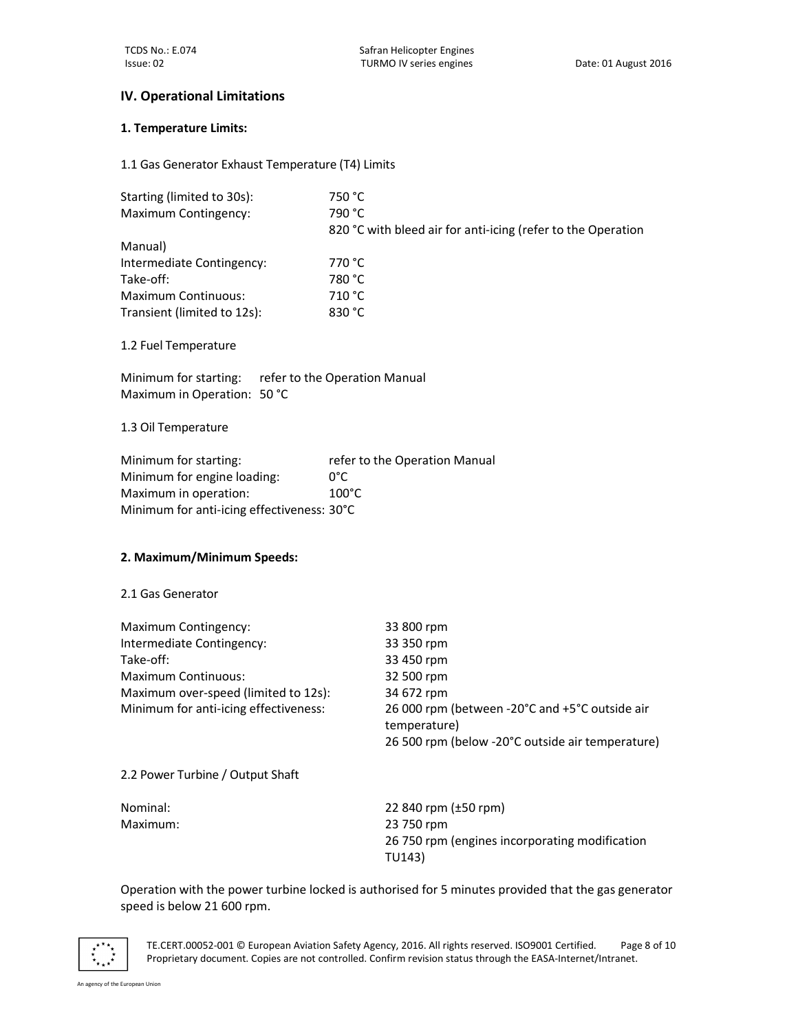# **IV. Operational Limitations**

#### **1. Temperature Limits:**

1.1 Gas Generator Exhaust Temperature (T4) Limits

| 750 °C                                                       |
|--------------------------------------------------------------|
| 790 °C                                                       |
| 820 °C with bleed air for anti-icing (refer to the Operation |
|                                                              |
| 770 °C                                                       |
| 780 °C                                                       |
| 710 °C                                                       |
| 830 °C                                                       |
|                                                              |
|                                                              |

1.2 Fuel Temperature

Minimum for starting: refer to the Operation Manual Maximum in Operation: 50 °C

1.3 Oil Temperature

Minimum for starting: refer to the Operation Manual Minimum for engine loading: 0°C Maximum in operation: 100°C Minimum for anti-icing effectiveness: 30°C

#### **2. Maximum/Minimum Speeds:**

#### 2.1 Gas Generator

| Maximum Contingency:                  | 33 800 rpm                                                     |
|---------------------------------------|----------------------------------------------------------------|
| Intermediate Contingency:             | 33 350 rpm                                                     |
| Take-off:                             | 33 450 rpm                                                     |
| Maximum Continuous:                   | 32 500 rpm                                                     |
| Maximum over-speed (limited to 12s):  | 34 672 rpm                                                     |
| Minimum for anti-icing effectiveness: | 26 000 rpm (between -20°C and +5°C outside air<br>temperature) |
|                                       | 26 500 rpm (below -20°C outside air temperature)               |
| 2.2 Power Turbine / Output Shaft      |                                                                |

2.2 Power Turbine / Output Shaft

Nominal: 22 840 rpm (±50 rpm) Maximum: 23 750 rpm 26 750 rpm (engines incorporating modification TU143)

Operation with the power turbine locked is authorised for 5 minutes provided that the gas generator speed is below 21 600 rpm.



TE.CERT.00052-001 © European Aviation Safety Agency, 2016. All rights reserved. ISO9001 Certified. Page 8 of 10 Proprietary document. Copies are not controlled. Confirm revision status through the EASA-Internet/Intranet.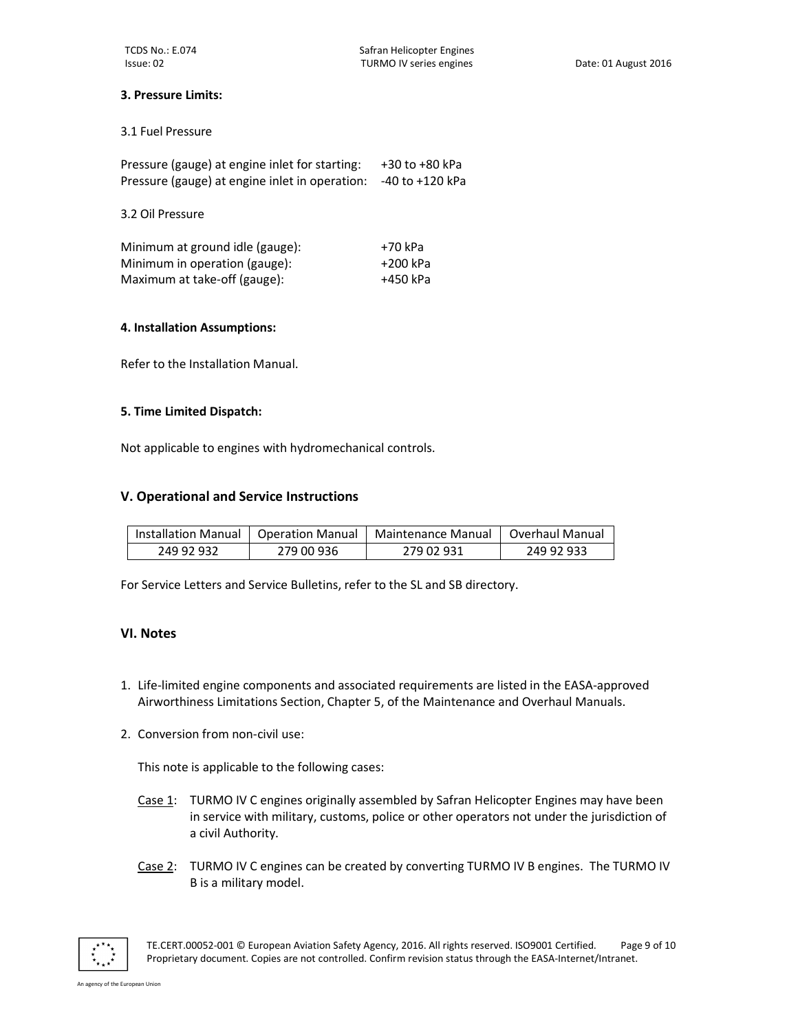## **3. Pressure Limits:**

#### 3.1 Fuel Pressure

| Pressure (gauge) at engine inlet for starting: | +30 to +80 kPa  |
|------------------------------------------------|-----------------|
| Pressure (gauge) at engine inlet in operation: | -40 to +120 kPa |

3.2 Oil Pressure

| Minimum at ground idle (gauge): | +70 kPa    |
|---------------------------------|------------|
| Minimum in operation (gauge):   | $+200$ kPa |
| Maximum at take-off (gauge):    | +450 kPa   |

#### **4. Installation Assumptions:**

Refer to the Installation Manual.

#### **5. Time Limited Dispatch:**

Not applicable to engines with hydromechanical controls.

# **V. Operational and Service Instructions**

|            |            | Installation Manual   Operation Manual   Maintenance Manual   Overhaul Manual |            |
|------------|------------|-------------------------------------------------------------------------------|------------|
| 249 92 932 | 279 00 936 | 279 02 931                                                                    | 249 92 933 |

For Service Letters and Service Bulletins, refer to the SL and SB directory.

# **VI. Notes**

- 1. Life-limited engine components and associated requirements are listed in the EASA-approved Airworthiness Limitations Section, Chapter 5, of the Maintenance and Overhaul Manuals.
- 2. Conversion from non-civil use:

This note is applicable to the following cases:

- Case 1: TURMO IV C engines originally assembled by Safran Helicopter Engines may have been in service with military, customs, police or other operators not under the jurisdiction of a civil Authority.
- Case 2: TURMO IV C engines can be created by converting TURMO IV B engines. The TURMO IV B is a military model.



TE.CERT.00052-001 © European Aviation Safety Agency, 2016. All rights reserved. ISO9001 Certified. Page 9 of 10 Proprietary document. Copies are not controlled. Confirm revision status through the EASA-Internet/Intranet.